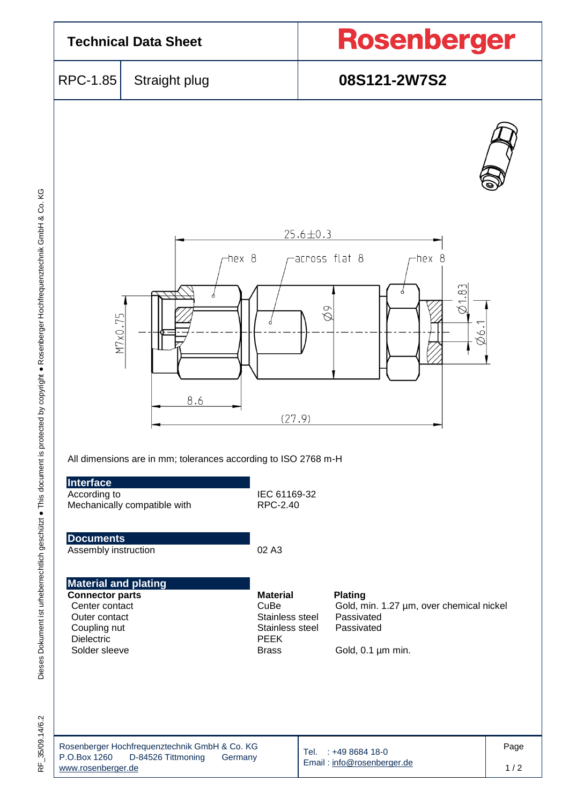

35/09.14/6.2  $\frac{\mu}{\alpha}$